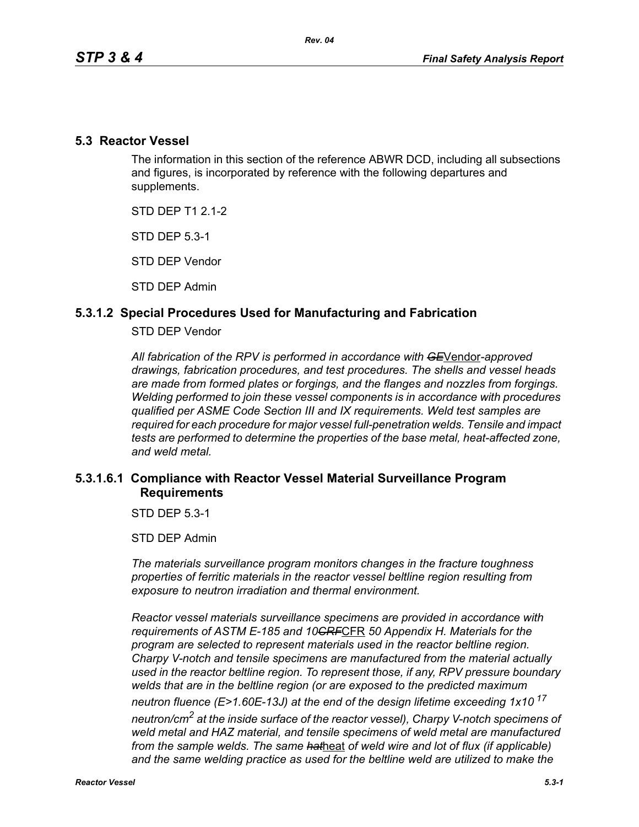### **5.3 Reactor Vessel**

The information in this section of the reference ABWR DCD, including all subsections and figures, is incorporated by reference with the following departures and supplements.

STD DEP T1 2.1-2

STD DEP 5.3-1

STD DEP Vendor

STD DEP Admin

## **5.3.1.2 Special Procedures Used for Manufacturing and Fabrication**

#### STD DEP Vendor

*All fabrication of the RPV is performed in accordance with GE*Vendor*-approved drawings, fabrication procedures, and test procedures. The shells and vessel heads are made from formed plates or forgings, and the flanges and nozzles from forgings. Welding performed to join these vessel components is in accordance with procedures qualified per ASME Code Section III and IX requirements. Weld test samples are required for each procedure for major vessel full-penetration welds. Tensile and impact tests are performed to determine the properties of the base metal, heat-affected zone, and weld metal.*

## **5.3.1.6.1 Compliance with Reactor Vessel Material Surveillance Program Requirements**

STD DEP 5.3-1

STD DEP Admin

*The materials surveillance program monitors changes in the fracture toughness properties of ferritic materials in the reactor vessel beltline region resulting from exposure to neutron irradiation and thermal environment.* 

*Reactor vessel materials surveillance specimens are provided in accordance with requirements of ASTM E-185 and 10CRF*CFR *50 Appendix H. Materials for the program are selected to represent materials used in the reactor beltline region. Charpy V-notch and tensile specimens are manufactured from the material actually used in the reactor beltline region. To represent those, if any, RPV pressure boundary welds that are in the beltline region (or are exposed to the predicted maximum neutron fluence (E>1.60E-13J) at the end of the design lifetime exceeding 1x10<sup>17</sup> neutron/cm2 at the inside surface of the reactor vessel), Charpy V-notch specimens of weld metal and HAZ material, and tensile specimens of weld metal are manufactured from the sample welds. The same hat*heat *of weld wire and lot of flux (if applicable)*  and the same welding practice as used for the beltline weld are utilized to make the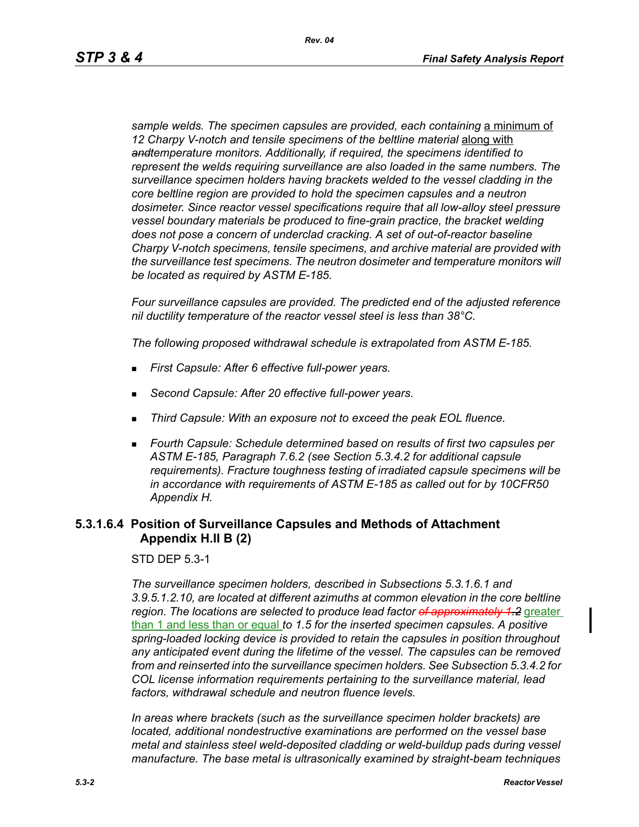sample welds. The specimen capsules are provided, each containing a minimum of 12 Charpy V-notch and tensile specimens of the beltline material along with *andtemperature monitors. Additionally, if required, the specimens identified to represent the welds requiring surveillance are also loaded in the same numbers. The surveillance specimen holders having brackets welded to the vessel cladding in the core beltline region are provided to hold the specimen capsules and a neutron dosimeter. Since reactor vessel specifications require that all low-alloy steel pressure vessel boundary materials be produced to fine-grain practice, the bracket welding does not pose a concern of underclad cracking. A set of out-of-reactor baseline Charpy V-notch specimens, tensile specimens, and archive material are provided with the surveillance test specimens. The neutron dosimeter and temperature monitors will be located as required by ASTM E-185.*

*Four surveillance capsules are provided. The predicted end of the adjusted reference nil ductility temperature of the reactor vessel steel is less than 38°C.*

*The following proposed withdrawal schedule is extrapolated from ASTM E-185.*

- *First Capsule: After 6 effective full-power years.*
- *Second Capsule: After 20 effective full-power years.*
- *Third Capsule: With an exposure not to exceed the peak EOL fluence.*
- *Fourth Capsule: Schedule determined based on results of first two capsules per ASTM E-185, Paragraph 7.6.2 (see Section 5.3.4.2 for additional capsule requirements). Fracture toughness testing of irradiated capsule specimens will be in accordance with requirements of ASTM E-185 as called out for by 10CFR50 Appendix H.*

# **5.3.1.6.4 Position of Surveillance Capsules and Methods of Attachment Appendix H.II B (2)**

STD DEP 5.3-1

*The surveillance specimen holders, described in Subsections 5.3.1.6.1 and 3.9.5.1.2.10, are located at different azimuths at common elevation in the core beltline region. The locations are selected to produce lead factor of approximately 1.2* greater than 1 and less than or equal *to 1.5 for the inserted specimen capsules. A positive spring-loaded locking device is provided to retain the capsules in position throughout any anticipated event during the lifetime of the vessel. The capsules can be removed from and reinserted into the surveillance specimen holders. See Subsection 5.3.4.2 for COL license information requirements pertaining to the surveillance material, lead factors, withdrawal schedule and neutron fluence levels.*

*In areas where brackets (such as the surveillance specimen holder brackets) are located, additional nondestructive examinations are performed on the vessel base metal and stainless steel weld-deposited cladding or weld-buildup pads during vessel manufacture. The base metal is ultrasonically examined by straight-beam techniques*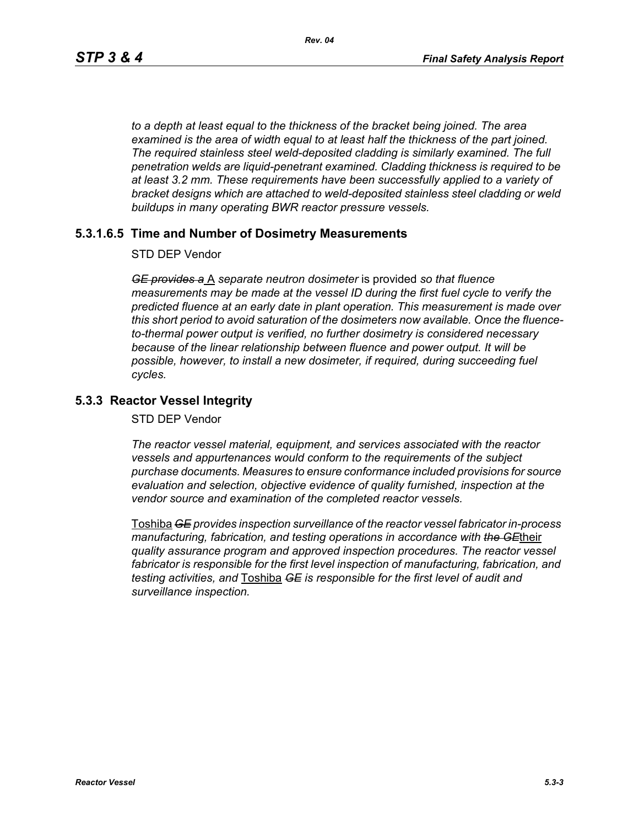*to a depth at least equal to the thickness of the bracket being joined. The area examined is the area of width equal to at least half the thickness of the part joined. The required stainless steel weld-deposited cladding is similarly examined. The full penetration welds are liquid-penetrant examined. Cladding thickness is required to be at least 3.2 mm. These requirements have been successfully applied to a variety of bracket designs which are attached to weld-deposited stainless steel cladding or weld buildups in many operating BWR reactor pressure vessels.*

## **5.3.1.6.5 Time and Number of Dosimetry Measurements**

#### STD DEP Vendor

*GE provides a* A *separate neutron dosimeter* is provided *so that fluence measurements may be made at the vessel ID during the first fuel cycle to verify the predicted fluence at an early date in plant operation. This measurement is made over this short period to avoid saturation of the dosimeters now available. Once the fluenceto-thermal power output is verified, no further dosimetry is considered necessary because of the linear relationship between fluence and power output. It will be possible, however, to install a new dosimeter, if required, during succeeding fuel cycles.*

## **5.3.3 Reactor Vessel Integrity**

STD DEP Vendor

*The reactor vessel material, equipment, and services associated with the reactor vessels and appurtenances would conform to the requirements of the subject purchase documents. Measures to ensure conformance included provisions for source evaluation and selection, objective evidence of quality furnished, inspection at the vendor source and examination of the completed reactor vessels.*

Toshiba *GE provides inspection surveillance of the reactor vessel fabricator in-process manufacturing, fabrication, and testing operations in accordance with the GE*their *quality assurance program and approved inspection procedures. The reactor vessel fabricator is responsible for the first level inspection of manufacturing, fabrication, and testing activities, and* Toshiba *GE is responsible for the first level of audit and surveillance inspection.*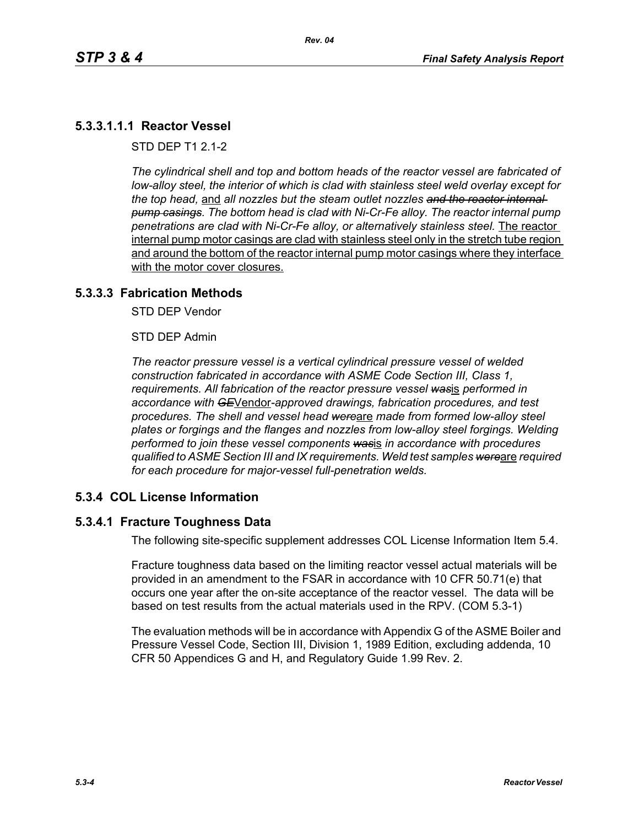## **5.3.3.1.1.1 Reactor Vessel**

STD DEP T1 2.1-2

*The cylindrical shell and top and bottom heads of the reactor vessel are fabricated of low-alloy steel, the interior of which is clad with stainless steel weld overlay except for the top head,* and *all nozzles but the steam outlet nozzles and the reactor internal pump casings. The bottom head is clad with Ni-Cr-Fe alloy. The reactor internal pump penetrations are clad with Ni-Cr-Fe alloy, or alternatively stainless steel.* The reactor internal pump motor casings are clad with stainless steel only in the stretch tube region and around the bottom of the reactor internal pump motor casings where they interface with the motor cover closures.

#### **5.3.3.3 Fabrication Methods**

STD DEP Vendor

STD DEP Admin

*The reactor pressure vessel is a vertical cylindrical pressure vessel of welded construction fabricated in accordance with ASME Code Section III, Class 1, requirements. All fabrication of the reactor pressure vessel was*is *performed in accordance with GE*Vendor*-approved drawings, fabrication procedures, and test procedures. The shell and vessel head were*are *made from formed low-alloy steel plates or forgings and the flanges and nozzles from low-alloy steel forgings. Welding performed to join these vessel components was*is *in accordance with procedures qualified to ASME Section III and IX requirements. Weld test samples were*are *required for each procedure for major-vessel full-penetration welds.*

### **5.3.4 COL License Information**

### **5.3.4.1 Fracture Toughness Data**

The following site-specific supplement addresses COL License Information Item 5.4.

Fracture toughness data based on the limiting reactor vessel actual materials will be provided in an amendment to the FSAR in accordance with 10 CFR 50.71(e) that occurs one year after the on-site acceptance of the reactor vessel. The data will be based on test results from the actual materials used in the RPV. (COM 5.3-1)

The evaluation methods will be in accordance with Appendix G of the ASME Boiler and Pressure Vessel Code, Section III, Division 1, 1989 Edition, excluding addenda, 10 CFR 50 Appendices G and H, and Regulatory Guide 1.99 Rev. 2.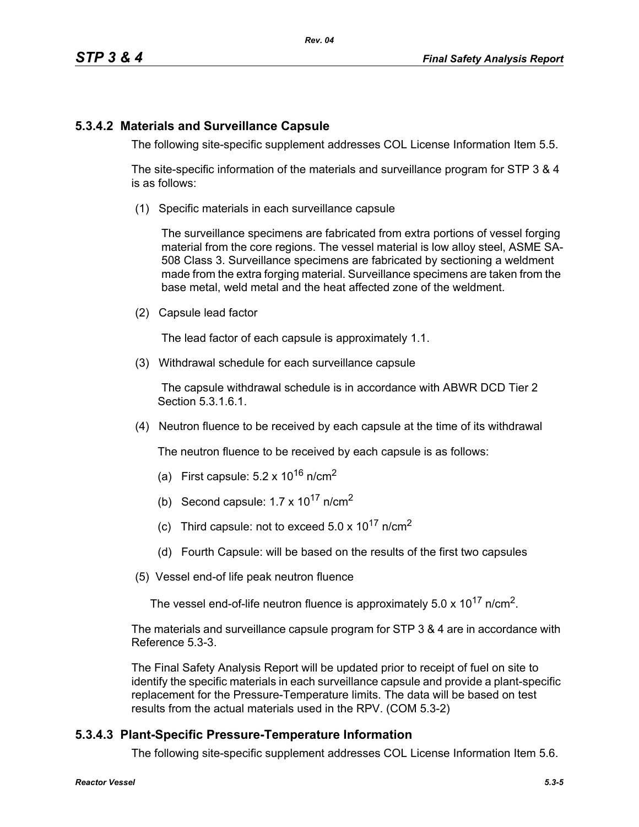# **5.3.4.2 Materials and Surveillance Capsule**

The following site-specific supplement addresses COL License Information Item 5.5.

The site-specific information of the materials and surveillance program for STP 3 & 4 is as follows:

(1) Specific materials in each surveillance capsule

The surveillance specimens are fabricated from extra portions of vessel forging material from the core regions. The vessel material is low alloy steel, ASME SA-508 Class 3. Surveillance specimens are fabricated by sectioning a weldment made from the extra forging material. Surveillance specimens are taken from the base metal, weld metal and the heat affected zone of the weldment.

(2) Capsule lead factor

The lead factor of each capsule is approximately 1.1.

(3) Withdrawal schedule for each surveillance capsule

The capsule withdrawal schedule is in accordance with ABWR DCD Tier 2 Section 5.3.1.6.1.

(4) Neutron fluence to be received by each capsule at the time of its withdrawal

The neutron fluence to be received by each capsule is as follows:

- (a) First capsule:  $5.2 \times 10^{16}$  n/cm<sup>2</sup>
- (b) Second capsule:  $1.7 \times 10^{17}$  n/cm<sup>2</sup>
- (c) Third capsule: not to exceed  $5.0 \times 10^{17}$  n/cm<sup>2</sup>
- (d) Fourth Capsule: will be based on the results of the first two capsules
- (5) Vessel end-of life peak neutron fluence

The vessel end-of-life neutron fluence is approximately  $5.0 \times 10^{17}$  n/cm<sup>2</sup>.

The materials and surveillance capsule program for STP 3 & 4 are in accordance with Reference 5.3-3.

The Final Safety Analysis Report will be updated prior to receipt of fuel on site to identify the specific materials in each surveillance capsule and provide a plant-specific replacement for the Pressure-Temperature limits. The data will be based on test results from the actual materials used in the RPV. (COM 5.3-2)

# **5.3.4.3 Plant-Specific Pressure-Temperature Information**

The following site-specific supplement addresses COL License Information Item 5.6.